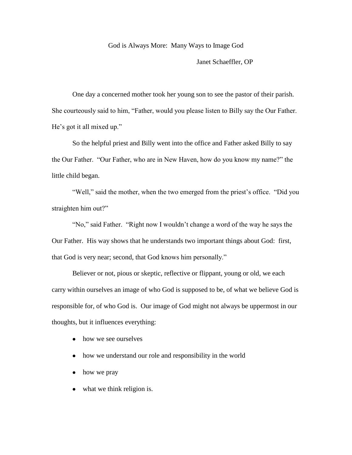### God is Always More: Many Ways to Image God

Janet Schaeffler, OP

One day a concerned mother took her young son to see the pastor of their parish. She courteously said to him, "Father, would you please listen to Billy say the Our Father. He's got it all mixed up."

So the helpful priest and Billy went into the office and Father asked Billy to say the Our Father. "Our Father, who are in New Haven, how do you know my name?" the little child began.

"Well," said the mother, when the two emerged from the priest's office. "Did you straighten him out?"

"No," said Father. "Right now I wouldn't change a word of the way he says the Our Father. His way shows that he understands two important things about God: first, that God is very near; second, that God knows him personally."

Believer or not, pious or skeptic, reflective or flippant, young or old, we each carry within ourselves an image of who God is supposed to be, of what we believe God is responsible for, of who God is. Our image of God might not always be uppermost in our thoughts, but it influences everything:

- how we see ourselves
- how we understand our role and responsibility in the world
- how we pray
- what we think religion is.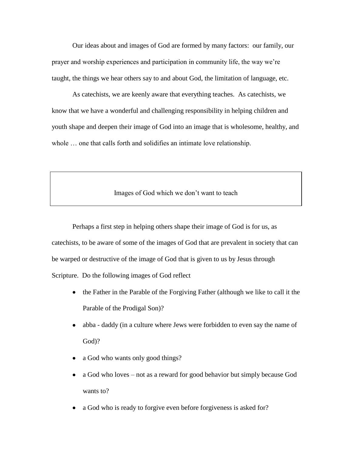Our ideas about and images of God are formed by many factors: our family, our prayer and worship experiences and participation in community life, the way we're taught, the things we hear others say to and about God, the limitation of language, etc.

As catechists, we are keenly aware that everything teaches. As catechists, we know that we have a wonderful and challenging responsibility in helping children and youth shape and deepen their image of God into an image that is wholesome, healthy, and whole … one that calls forth and solidifies an intimate love relationship.

## Images of God which we don't want to teach

Perhaps a first step in helping others shape their image of God is for us, as catechists, to be aware of some of the images of God that are prevalent in society that can be warped or destructive of the image of God that is given to us by Jesus through Scripture. Do the following images of God reflect

- the Father in the Parable of the Forgiving Father (although we like to call it the Parable of the Prodigal Son)?
- abba daddy (in a culture where Jews were forbidden to even say the name of God)?
- a God who wants only good things?
- a God who loves not as a reward for good behavior but simply because God wants to?
- a God who is ready to forgive even before forgiveness is asked for?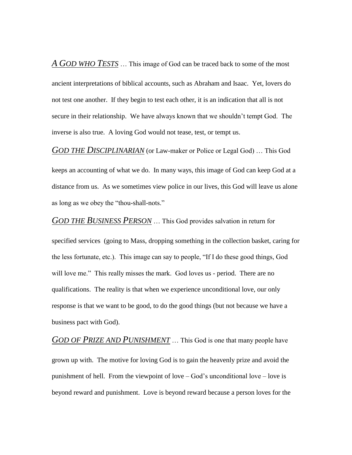*A GOD WHO TESTS* … This image of God can be traced back to some of the most ancient interpretations of biblical accounts, such as Abraham and Isaac. Yet, lovers do not test one another. If they begin to test each other, it is an indication that all is not secure in their relationship. We have always known that we shouldn't tempt God. The inverse is also true. A loving God would not tease, test, or tempt us.

*GOD THE DISCIPLINARIAN* (or Law-maker or Police or Legal God) … This God

keeps an accounting of what we do. In many ways, this image of God can keep God at a distance from us. As we sometimes view police in our lives, this God will leave us alone as long as we obey the "thou-shall-nots."

*GOD THE BUSINESS PERSON* … This God provides salvation in return for

specified services (going to Mass, dropping something in the collection basket, caring for the less fortunate, etc.). This image can say to people, "If I do these good things, God will love me." This really misses the mark. God loves us - period. There are no qualifications. The reality is that when we experience unconditional love, our only response is that we want to be good, to do the good things (but not because we have a business pact with God).

*GOD OF PRIZE AND PUNISHMENT* … This God is one that many people have grown up with. The motive for loving God is to gain the heavenly prize and avoid the punishment of hell. From the viewpoint of love – God's unconditional love – love is beyond reward and punishment. Love is beyond reward because a person loves for the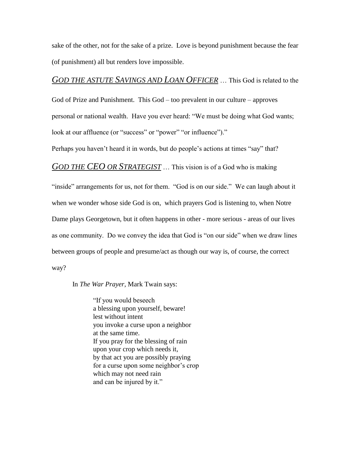sake of the other, not for the sake of a prize. Love is beyond punishment because the fear (of punishment) all but renders love impossible.

# *GOD THE ASTUTE SAVINGS AND LOAN OFFICER* … This God is related to the

God of Prize and Punishment. This God – too prevalent in our culture – approves personal or national wealth. Have you ever heard: "We must be doing what God wants; look at our affluence (or "success" or "power" "or influence")."

Perhaps you haven't heard it in words, but do people's actions at times "say" that?

*GOD THE CEO OR STRATEGIST* … This vision is of a God who is making

"inside" arrangements for us, not for them. "God is on our side." We can laugh about it when we wonder whose side God is on, which prayers God is listening to, when Notre Dame plays Georgetown, but it often happens in other - more serious - areas of our lives as one community. Do we convey the idea that God is "on our side" when we draw lines between groups of people and presume/act as though our way is, of course, the correct way?

In *The War Prayer,* Mark Twain says:

"If you would beseech a blessing upon yourself, beware! lest without intent you invoke a curse upon a neighbor at the same time. If you pray for the blessing of rain upon your crop which needs it, by that act you are possibly praying for a curse upon some neighbor's crop which may not need rain and can be injured by it."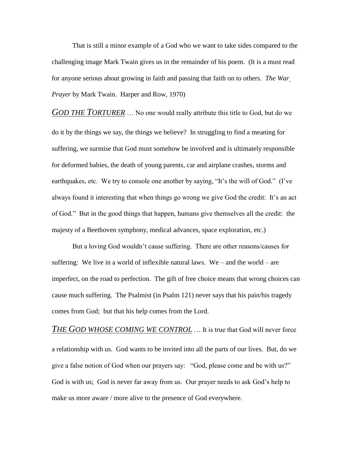That is still a minor example of a God who we want to take sides compared to the challenging image Mark Twain gives us in the remainder of his poem. (It is a must read for anyone serious about growing in faith and passing that faith on to others. *The War Prayer* by Mark Twain. Harper and Row, 1970)

*GOD THE TORTURER* … No one would really attribute this title to God, but do we do it by the things we say, the things we believe? In struggling to find a meaning for suffering, we surmise that God must somehow be involved and is ultimately responsible for deformed babies, the death of young parents, car and airplane crashes, storms and earthquakes, etc. We try to console one another by saying, "It's the will of God." (I've always found it interesting that when things go wrong we give God the credit: It's an act of God." But in the good things that happen, humans give themselves all the credit: the majesty of a Beethoven symphony, medical advances, space exploration, etc.)

But a loving God wouldn't cause suffering. There are other reasons/causes for suffering: We live in a world of inflexible natural laws. We – and the world – are imperfect, on the road to perfection. The gift of free choice means that wrong choices can cause much suffering. The Psalmist (in Psalm 121) never says that his pain/his tragedy comes from God; but that his help comes from the Lord.

*THE GOD WHOSE COMING WE CONTROL* … It is true that God will never force a relationship with us. God wants to be invited into all the parts of our lives. But, do we give a false notion of God when our prayers say: "God, please come and be with us?" God is with us; God is never far away from us. Our prayer needs to ask God's help to make us more aware / more alive to the presence of God everywhere.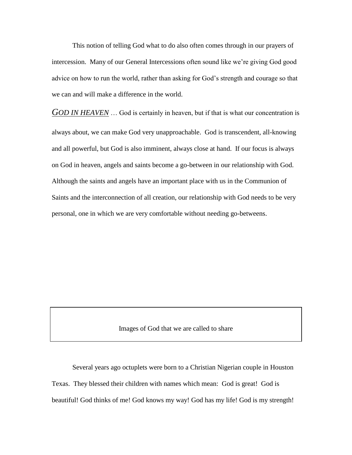This notion of telling God what to do also often comes through in our prayers of intercession. Many of our General Intercessions often sound like we're giving God good advice on how to run the world, rather than asking for God's strength and courage so that we can and will make a difference in the world.

*GOD IN HEAVEN* … God is certainly in heaven, but if that is what our concentration is always about, we can make God very unapproachable. God is transcendent, all-knowing and all powerful, but God is also imminent, always close at hand. If our focus is always on God in heaven, angels and saints become a go-between in our relationship with God. Although the saints and angels have an important place with us in the Communion of Saints and the interconnection of all creation, our relationship with God needs to be very personal, one in which we are very comfortable without needing go-betweens.

Images of God that we are called to share

Several years ago octuplets were born to a Christian Nigerian couple in Houston Texas. They blessed their children with names which mean: God is great! God is beautiful! God thinks of me! God knows my way! God has my life! God is my strength!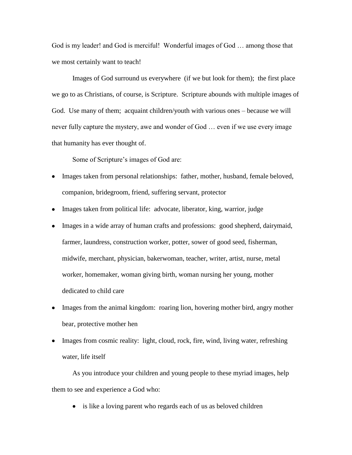God is my leader! and God is merciful! Wonderful images of God … among those that we most certainly want to teach!

Images of God surround us everywhere (if we but look for them); the first place we go to as Christians, of course, is Scripture. Scripture abounds with multiple images of God. Use many of them; acquaint children/youth with various ones – because we will never fully capture the mystery, awe and wonder of God … even if we use every image that humanity has ever thought of.

Some of Scripture's images of God are:

- Images taken from personal relationships: father, mother, husband, female beloved, companion, bridegroom, friend, suffering servant, protector
- Images taken from political life: advocate, liberator, king, warrior, judge
- Images in a wide array of human crafts and professions: good shepherd, dairymaid, farmer, laundress, construction worker, potter, sower of good seed, fisherman, midwife, merchant, physician, bakerwoman, teacher, writer, artist, nurse, metal worker, homemaker, woman giving birth, woman nursing her young, mother dedicated to child care
- Images from the animal kingdom: roaring lion, hovering mother bird, angry mother bear, protective mother hen
- Images from cosmic reality: light, cloud, rock, fire, wind, living water, refreshing water, life itself

As you introduce your children and young people to these myriad images, help them to see and experience a God who:

• is like a loving parent who regards each of us as beloved children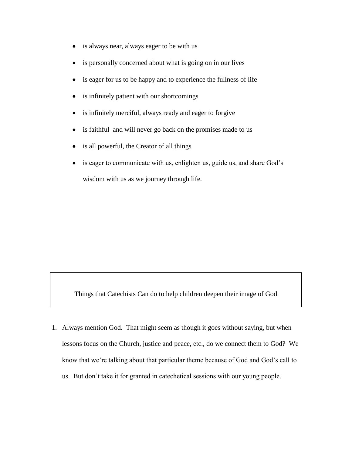- is always near, always eager to be with us
- is personally concerned about what is going on in our lives
- is eager for us to be happy and to experience the fullness of life
- is infinitely patient with our shortcomings
- is infinitely merciful, always ready and eager to forgive
- is faithful and will never go back on the promises made to us
- is all powerful, the Creator of all things
- is eager to communicate with us, enlighten us, guide us, and share God's wisdom with us as we journey through life.

Things that Catechists Can do to help children deepen their image of God

1. Always mention God. That might seem as though it goes without saying, but when lessons focus on the Church, justice and peace, etc., do we connect them to God? We know that we're talking about that particular theme because of God and God's call to us. But don't take it for granted in catechetical sessions with our young people.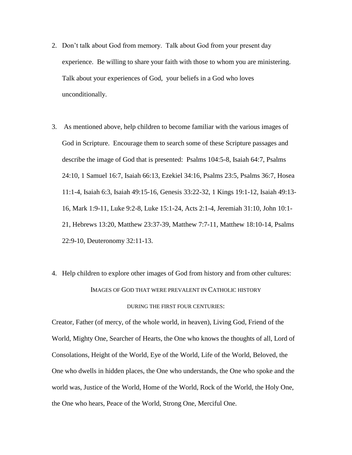- 2. Don't talk about God from memory. Talk about God from your present day experience. Be willing to share your faith with those to whom you are ministering. Talk about your experiences of God, your beliefs in a God who loves unconditionally.
- 3. As mentioned above, help children to become familiar with the various images of God in Scripture. Encourage them to search some of these Scripture passages and describe the image of God that is presented: Psalms 104:5-8, Isaiah 64:7, Psalms 24:10, 1 Samuel 16:7, Isaiah 66:13, Ezekiel 34:16, Psalms 23:5, Psalms 36:7, Hosea 11:1-4, Isaiah 6:3, Isaiah 49:15-16, Genesis 33:22-32, 1 Kings 19:1-12, Isaiah 49:13- 16, Mark 1:9-11, Luke 9:2-8, Luke 15:1-24, Acts 2:1-4, Jeremiah 31:10, John 10:1- 21, Hebrews 13:20, Matthew 23:37-39, Matthew 7:7-11, Matthew 18:10-14, Psalms 22:9-10, Deuteronomy 32:11-13.
- 4. Help children to explore other images of God from history and from other cultures: IMAGES OF GOD THAT WERE PREVALENT IN CATHOLIC HISTORY DURING THE FIRST FOUR CENTURIES:

Creator, Father (of mercy, of the whole world, in heaven), Living God, Friend of the World, Mighty One, Searcher of Hearts, the One who knows the thoughts of all, Lord of Consolations, Height of the World, Eye of the World, Life of the World, Beloved, the One who dwells in hidden places, the One who understands, the One who spoke and the world was, Justice of the World, Home of the World, Rock of the World, the Holy One, the One who hears, Peace of the World, Strong One, Merciful One.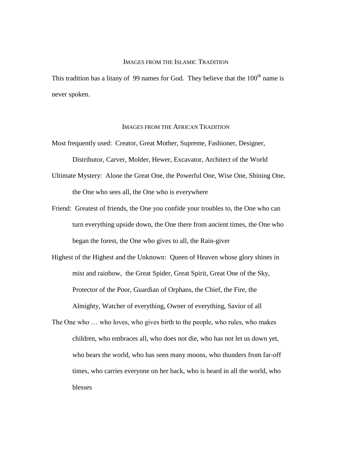### IMAGES FROM THE ISLAMIC TRADITION

This tradition has a litany of 99 names for God. They believe that the  $100<sup>th</sup>$  name is never spoken.

#### IMAGES FROM THE AFRICAN TRADITION

- Most frequently used: Creator, Great Mother, Supreme, Fashioner, Designer, Distributor, Carver, Molder, Hewer, Excavator, Architect of the World
- Ultimate Mystery: Alone the Great One, the Powerful One, Wise One, Shining One, the One who sees all, the One who is everywhere
- Friend: Greatest of friends, the One you confide your troubles to, the One who can turn everything upside down, the One there from ancient times, the One who began the forest, the One who gives to all, the Rain-giver
- Highest of the Highest and the Unknown: Queen of Heaven whose glory shines in mist and rainbow, the Great Spider, Great Spirit, Great One of the Sky, Protector of the Poor, Guardian of Orphans, the Chief, the Fire, the Almighty, Watcher of everything, Owner of everything, Savior of all
- The One who … who loves, who gives birth to the people, who rules, who makes children, who embraces all, who does not die, who has not let us down yet, who bears the world, who has seen many moons, who thunders from far-off times, who carries everyone on her back, who is heard in all the world, who blesses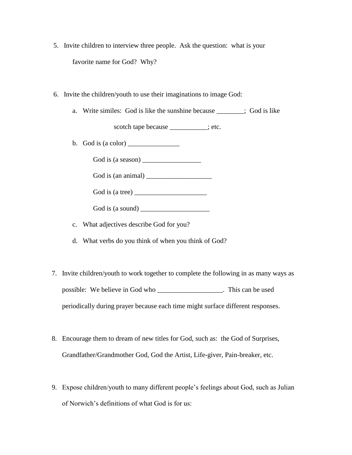- 5. Invite children to interview three people. Ask the question: what is your favorite name for God? Why?
- 6. Invite the children/youth to use their imaginations to image God:
	- a. Write similes: God is like the sunshine because \_\_\_\_\_\_\_\_; God is like

scotch tape because  $\qquad$ ; etc.

b. God is (a color) \_\_\_\_\_\_\_\_\_\_\_\_\_\_\_

God is (a season)

God is (an animal) \_\_\_\_\_\_\_\_\_\_\_\_\_\_\_\_\_\_\_

God is (a tree)  $\frac{1}{\sqrt{1-\frac{1}{2}}\sqrt{1-\frac{1}{2}}\sqrt{1-\frac{1}{2}}\sqrt{1-\frac{1}{2}}\sqrt{1-\frac{1}{2}}$ 

God is (a sound) \_\_\_\_\_\_\_\_\_\_\_\_\_\_\_\_\_\_\_\_

- c. What adjectives describe God for you?
- d. What verbs do you think of when you think of God?
- 7. Invite children/youth to work together to complete the following in as many ways as possible: We believe in God who \_\_\_\_\_\_\_\_\_\_\_\_\_\_\_\_\_\_\_. This can be used periodically during prayer because each time might surface different responses.
- 8. Encourage them to dream of new titles for God, such as: the God of Surprises, Grandfather/Grandmother God, God the Artist, Life-giver, Pain-breaker, etc.
- 9. Expose children/youth to many different people's feelings about God, such as Julian of Norwich's definitions of what God is for us: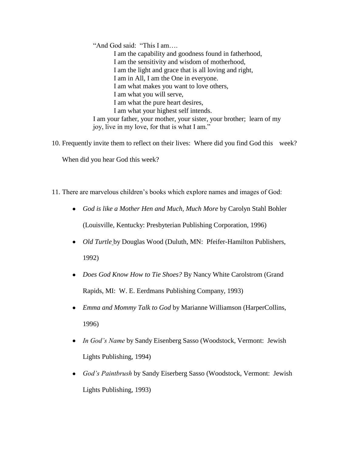"And God said: "This I am…. I am the capability and goodness found in fatherhood, I am the sensitivity and wisdom of motherhood, I am the light and grace that is all loving and right, I am in All, I am the One in everyone. I am what makes you want to love others, I am what you will serve, I am what the pure heart desires, I am what your highest self intends. I am your father, your mother, your sister, your brother; learn of my joy, live in my love, for that is what I am."

- 10. Frequently invite them to reflect on their lives: Where did you find God this week? When did you hear God this week?
- 11. There are marvelous children's books which explore names and images of God:
	- *God is like a Mother Hen and Much, Much More* by Carolyn Stahl Bohler (Louisville, Kentucky: Presbyterian Publishing Corporation, 1996)
	- *Old Turtle* by Douglas Wood (Duluth, MN: Pfeifer-Hamilton Publishers, 1992)
	- *Does God Know How to Tie Shoes?* By Nancy White Carolstrom (Grand Rapids, MI: W. E. Eerdmans Publishing Company, 1993)
	- *Emma and Mommy Talk to God* by Marianne Williamson (HarperCollins, 1996)
	- *In God's Name* by Sandy Eisenberg Sasso (Woodstock, Vermont: Jewish Lights Publishing, 1994)
	- *God's Paintbrush* by Sandy Eiserberg Sasso (Woodstock, Vermont: Jewish Lights Publishing, 1993)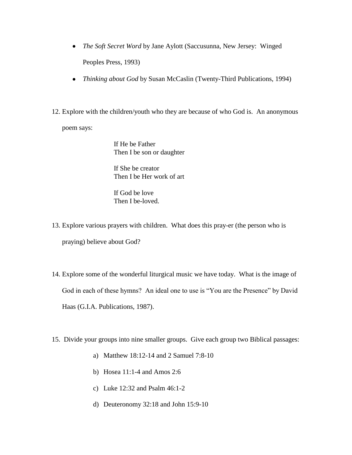- *The Soft Secret Word* by Jane Aylott (Saccusunna, New Jersey: Winged Peoples Press, 1993)
- *Thinking about God* by Susan McCaslin (Twenty-Third Publications, 1994)
- 12. Explore with the children/youth who they are because of who God is. An anonymous

poem says:

If He be Father Then I be son or daughter

If She be creator Then I be Her work of art

If God be love Then I be-loved.

- 13. Explore various prayers with children. What does this pray-er (the person who is praying) believe about God?
- 14. Explore some of the wonderful liturgical music we have today. What is the image of God in each of these hymns? An ideal one to use is "You are the Presence" by David Haas (G.I.A. Publications, 1987).
- 15. Divide your groups into nine smaller groups. Give each group two Biblical passages:
	- a) Matthew 18:12-14 and 2 Samuel 7:8-10
	- b) Hosea 11:1-4 and Amos 2:6
	- c) Luke 12:32 and Psalm 46:1-2
	- d) Deuteronomy 32:18 and John 15:9-10